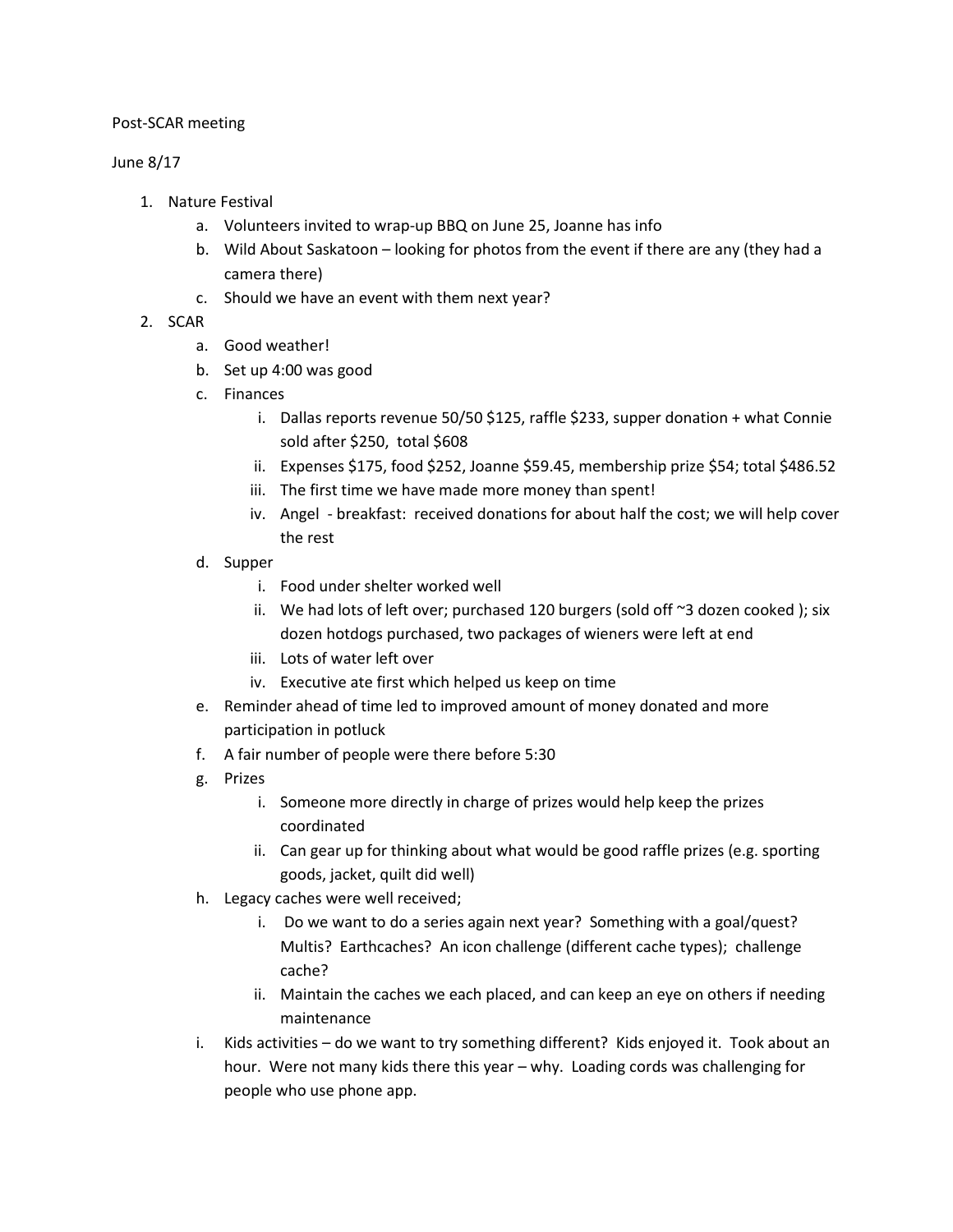## Post-SCAR meeting

## June 8/17

- 1. Nature Festival
	- a. Volunteers invited to wrap-up BBQ on June 25, Joanne has info
	- b. Wild About Saskatoon looking for photos from the event if there are any (they had a camera there)
	- c. Should we have an event with them next year?
- 2. SCAR
	- a. Good weather!
	- b. Set up 4:00 was good
	- c. Finances
		- i. Dallas reports revenue 50/50 \$125, raffle \$233, supper donation + what Connie sold after \$250, total \$608
		- ii. Expenses \$175, food \$252, Joanne \$59.45, membership prize \$54; total \$486.52
		- iii. The first time we have made more money than spent!
		- iv. Angel breakfast: received donations for about half the cost; we will help cover the rest
	- d. Supper
		- i. Food under shelter worked well
		- ii. We had lots of left over; purchased 120 burgers (sold off  $\sim$ 3 dozen cooked); six dozen hotdogs purchased, two packages of wieners were left at end
		- iii. Lots of water left over
		- iv. Executive ate first which helped us keep on time
	- e. Reminder ahead of time led to improved amount of money donated and more participation in potluck
	- f. A fair number of people were there before 5:30
	- g. Prizes
		- i. Someone more directly in charge of prizes would help keep the prizes coordinated
		- ii. Can gear up for thinking about what would be good raffle prizes (e.g. sporting goods, jacket, quilt did well)
	- h. Legacy caches were well received;
		- i. Do we want to do a series again next year? Something with a goal/quest? Multis? Earthcaches? An icon challenge (different cache types); challenge cache?
		- ii. Maintain the caches we each placed, and can keep an eye on others if needing maintenance
	- i. Kids activities do we want to try something different? Kids enjoyed it. Took about an hour. Were not many kids there this year – why. Loading cords was challenging for people who use phone app.